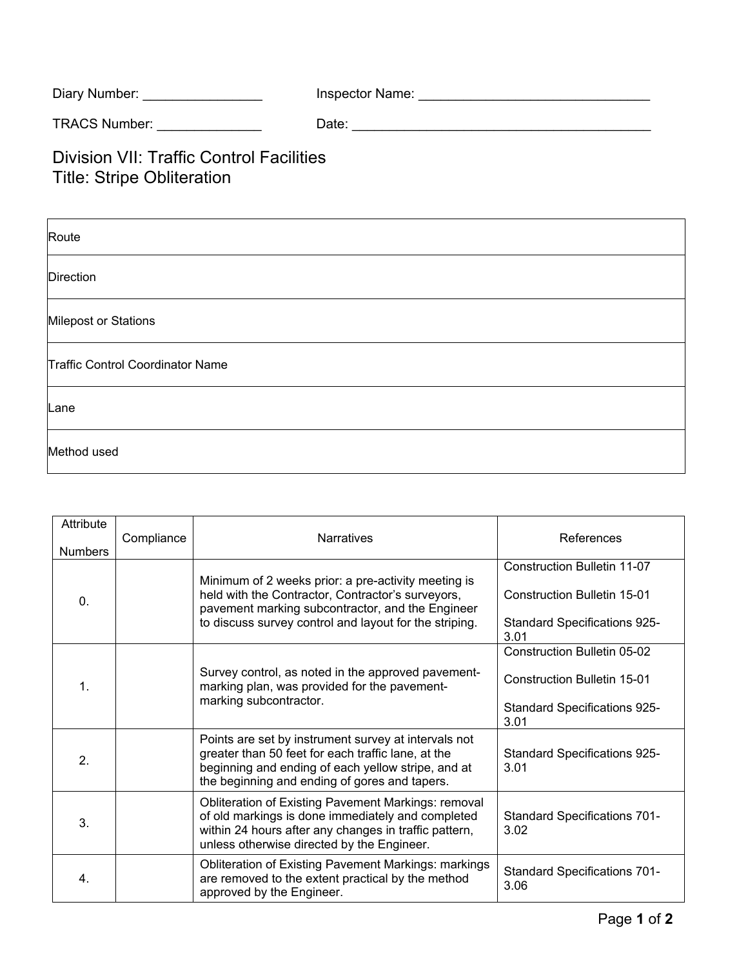| Diary Number:        | Inspector Name: |
|----------------------|-----------------|
| <b>TRACS Number:</b> | Date:           |

## Division VII: Traffic Control Facilities Title: Stripe Obliteration

| Attribute<br><b>Numbers</b> | Compliance | <b>Narratives</b>                                                                                                                                                                                                      | References                                                                                                              |
|-----------------------------|------------|------------------------------------------------------------------------------------------------------------------------------------------------------------------------------------------------------------------------|-------------------------------------------------------------------------------------------------------------------------|
| 0.                          |            | Minimum of 2 weeks prior: a pre-activity meeting is<br>held with the Contractor, Contractor's surveyors,<br>pavement marking subcontractor, and the Engineer<br>to discuss survey control and layout for the striping. | <b>Construction Bulletin 11-07</b><br><b>Construction Bulletin 15-01</b><br><b>Standard Specifications 925-</b><br>3.01 |
| 1.                          |            | Survey control, as noted in the approved pavement-<br>marking plan, was provided for the pavement-<br>marking subcontractor.                                                                                           | <b>Construction Bulletin 05-02</b><br>Construction Bulletin 15-01<br><b>Standard Specifications 925-</b><br>3.01        |
| 2.                          |            | Points are set by instrument survey at intervals not<br>greater than 50 feet for each traffic lane, at the<br>beginning and ending of each yellow stripe, and at<br>the beginning and ending of gores and tapers.      | <b>Standard Specifications 925-</b><br>3.01                                                                             |
| 3.                          |            | Obliteration of Existing Pavement Markings: removal<br>of old markings is done immediately and completed<br>within 24 hours after any changes in traffic pattern,<br>unless otherwise directed by the Engineer.        | <b>Standard Specifications 701-</b><br>3.02                                                                             |
| 4.                          |            | <b>Obliteration of Existing Pavement Markings: markings</b><br>are removed to the extent practical by the method<br>approved by the Engineer.                                                                          | <b>Standard Specifications 701-</b><br>3.06                                                                             |